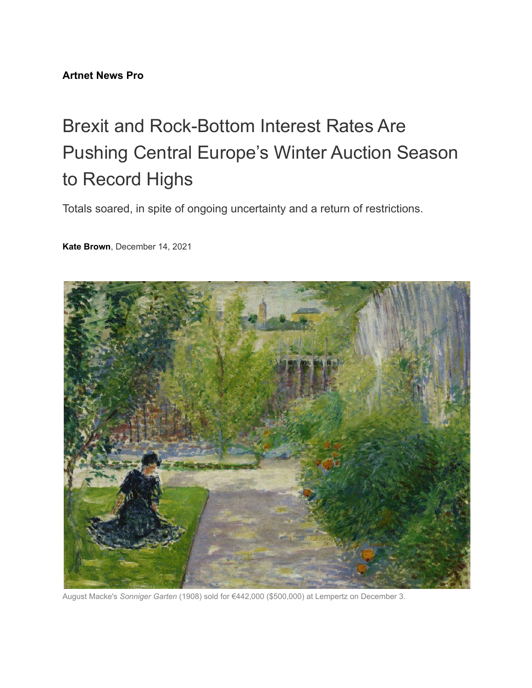## **[Artnet News Pro](https://news.artnet.com/news-pro)**

## Brexit and Rock-Bottom Interest Rates Are Pushing Central Europe's Winter Auction Season to Record Highs

Totals soared, in spite of ongoing uncertainty and a return of restrictions.

**Kate [Brown](https://news.artnet.com/about/kate-brown-671)**, December 14, 2021



August Macke's *Sonniger Garten* (1908) sold for €442,000 (\$500,000) at Lempertz on December 3.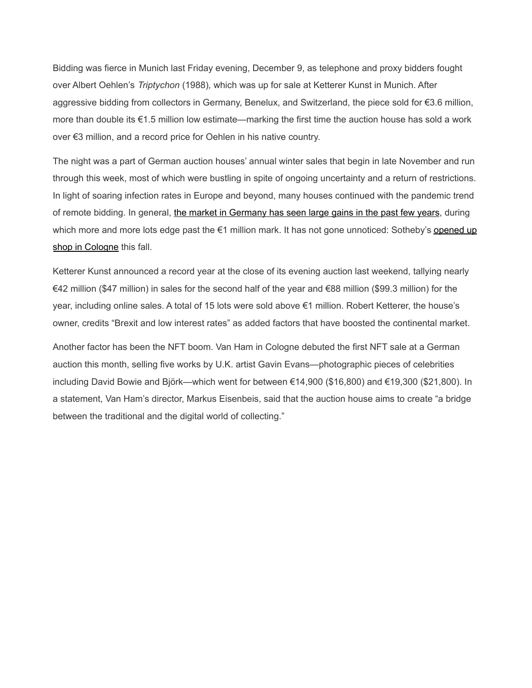Bidding was fierce in Munich last Friday evening, December 9, as telephone and proxy bidders fought over Albert Oehlen's *Triptychon* (1988)*,* which was up for sale at Ketterer Kunst in Munich. After aggressive bidding from collectors in Germany, Benelux, and Switzerland, the piece sold for €3.6 million, more than double its €1.5 million low estimate—marking the first time the auction house has sold a work over €3 million, and a record price for Oehlen in his native country.

The night was a part of German auction houses' annual winter sales that begin in late November and run through this week, most of which were bustling in spite of ongoing uncertainty and a return of restrictions. In light of soaring infection rates in Europe and beyond, many houses continued with the pandemic trend of remote bidding. In general, the market in Germany [has seen large gains in the past few years](https://news.artnet.com/news-pro/germany-has-it-all-why-german-auctions-are-making-major-gains-1987567), during which more and more lots edge past the €1 million mark. It has not gone unnoticed: Sotheby's [opened](https://news.artnet.com/news-pro/sothebys-germany-office-1975469) up [shop in Cologne](https://news.artnet.com/news-pro/sothebys-germany-office-1975469) this fall.

Ketterer Kunst announced a record year at the close of its evening auction last weekend, tallying nearly €42 million (\$47 million) in sales for the second half of the year and €88 million (\$99.3 million) for the year, including online sales. A total of 15 lots were sold above €1 million. Robert Ketterer, the house's owner, credits "Brexit and low interest rates" as added factors that have boosted the continental market.

Another factor has been the NFT boom. Van Ham in Cologne debuted the first NFT sale at a German auction this month, selling five works by U.K. artist Gavin Evans—photographic pieces of celebrities including David Bowie and Björk—which went for between €14,900 (\$16,800) and €19,300 (\$21,800). In a statement, Van Ham's director, Markus Eisenbeis, said that the auction house aims to create "a bridge between the traditional and the digital world of collecting."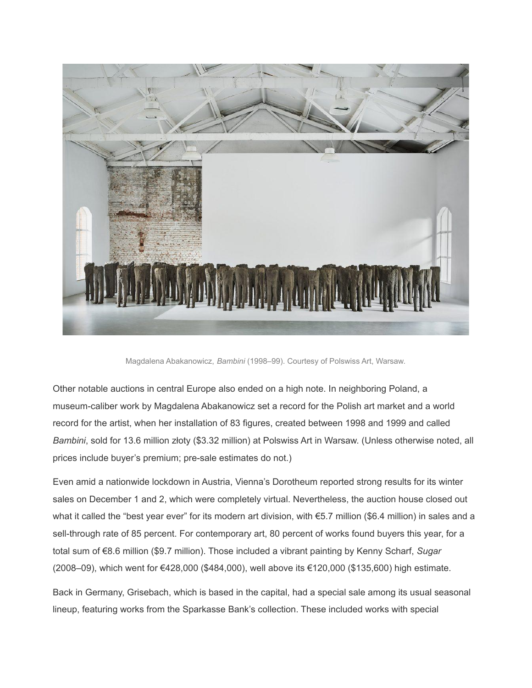

Magdalena Abakanowicz, *Bambini* (1998–99). Courtesy of Polswiss Art, Warsaw.

Other notable auctions in central Europe also ended on a high note. In neighboring Poland, a museum-caliber work by Magdalena Abakanowicz set a record for the Polish art market and a world record for the artist, when her installation of 83 figures, created between 1998 and 1999 and called *Bambini*, sold for 13.6 million złoty (\$3.32 million) at Polswiss Art in Warsaw. (Unless otherwise noted, all prices include buyer's premium; pre-sale estimates do not.)

Even amid a nationwide lockdown in Austria, Vienna's Dorotheum reported strong results for its winter sales on December 1 and 2, which were completely virtual. Nevertheless, the auction house closed out what it called the "best year ever" for its modern art division, with €5.7 million (\$6.4 million) in sales and a sell-through rate of 85 percent. For contemporary art, 80 percent of works found buyers this year, for a total sum of €8.6 million (\$9.7 million). Those included a vibrant painting by Kenny Scharf, *Sugar* (2008–09), which went for €428,000 (\$484,000), well above its €120,000 (\$135,600) high estimate.

Back in Germany, Grisebach, which is based in the capital, had a special sale among its usual seasonal lineup, featuring works from the Sparkasse Bank's collection. These included works with special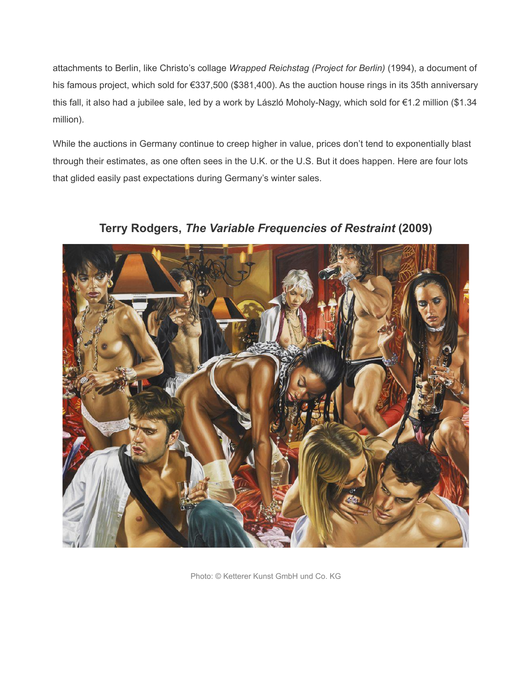attachments to Berlin, like Christo's collage *Wrapped Reichstag (Project for Berlin)* (1994), a document of his famous project, which sold for €337,500 (\$381,400). As the auction house rings in its 35th anniversary this fall, it also had a jubilee sale, led by a work by László Moholy-Nagy, which sold for €1.2 million (\$1.34 million).

While the auctions in Germany continue to creep higher in value, prices don't tend to exponentially blast through their estimates, as one often sees in the U.K. or the U.S. But it does happen. Here are four lots that glided easily past expectations during Germany's winter sales.



**Terry Rodgers,** *The Variable Frequencies of Restraint* **(2009)**

Photo: © Ketterer Kunst GmbH und Co. KG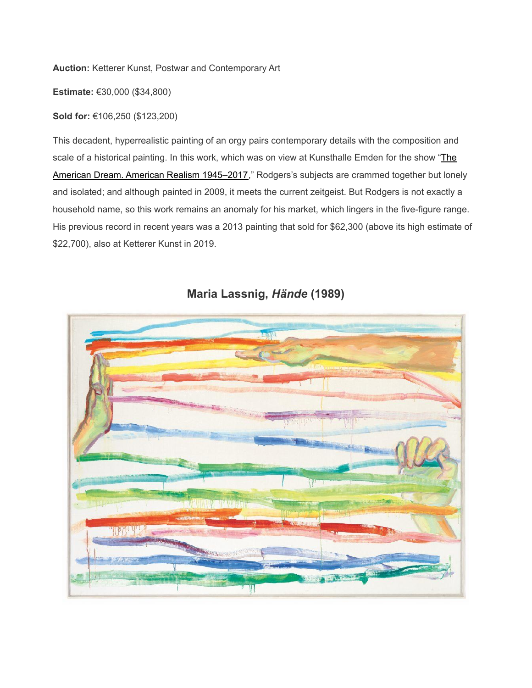**Auction:** Ketterer Kunst, Postwar and Contemporary Art

**Estimate:** €30,000 (\$34,800)

**Sold for:** €106,250 (\$123,200)

This decadent, hyperrealistic painting of an orgy pairs contemporary details with the composition and scale of a historical painting. In this work, which was on view at Kunsthalle Emden for the show "[The](https://seavestcollection.org/exhibition/55/press_release/) American Dream. American Realism 1945-2017," Rodgers's subjects are crammed together but lonely and isolated; and although painted in 2009, it meets the current zeitgeist. But Rodgers is not exactly a household name, so this work remains an anomaly for his market, which lingers in the five-figure range. His previous record in recent years was a 2013 painting that sold for \$62,300 (above its high estimate of \$22,700), also at Ketterer Kunst in 2019.



## **Maria Lassnig,** *Hände* **(1989)**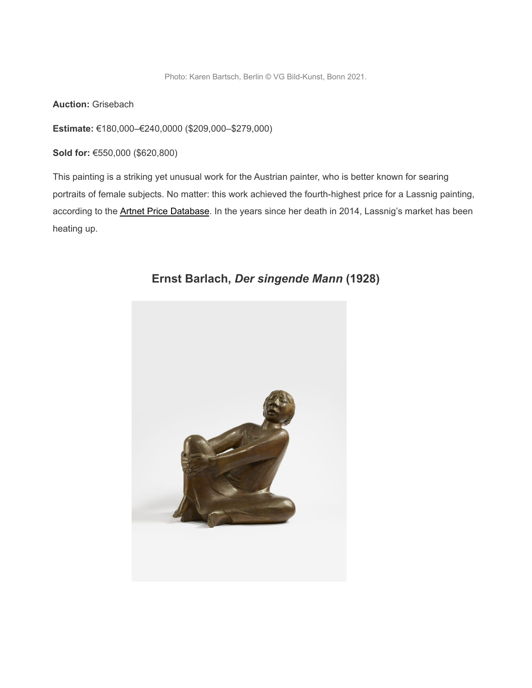Photo: Karen Bartsch, Berlin © VG Bild-Kunst, Bonn 2021.

**Auction:** Grisebach

**Estimate:** €180,000–€240,0000 (\$209,000–\$279,000)

**Sold for:** €550,000 (\$620,800)

This painting is a striking yet unusual work for the Austrian painter, who is better known for searing portraits of female subjects. No matter: this work achieved the fourth-highest price for a Lassnig painting, according to the **[Artnet Price Database](https://www.artnet.com/price-database/)**. In the years since her death in 2014, Lassnig's market has been heating up.

![](_page_5_Picture_5.jpeg)

**Ernst Barlach,** *Der singende Mann* **(1928)**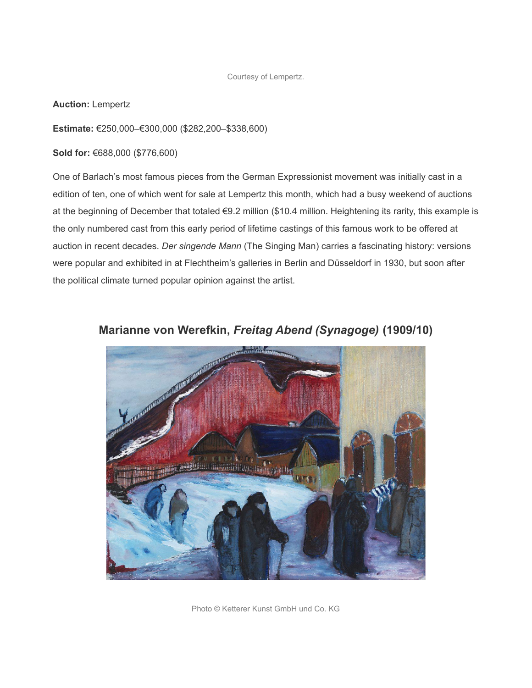Courtesy of Lempertz.

**Auction:** Lempertz

**Estimate:** €250,000–€300,000 (\$282,200–\$338,600)

**Sold for:** €688,000 (\$776,600)

One of Barlach's most famous pieces from the German Expressionist movement was initially cast in a edition of ten, one of which went for sale at Lempertz this month, which had a busy weekend of auctions at the beginning of December that totaled €9.2 million (\$10.4 million. Heightening its rarity, this example is the only numbered cast from this early period of lifetime castings of this famous work to be offered at auction in recent decades. *Der singende Mann* (The Singing Man) carries a fascinating history: versions were popular and exhibited in at Flechtheim's galleries in Berlin and Düsseldorf in 1930, but soon after the political climate turned popular opinion against the artist.

![](_page_6_Picture_5.jpeg)

**Marianne von Werefkin,** *Freitag Abend (Synagoge)* **(1909/10)**

Photo © Ketterer Kunst GmbH und Co. KG